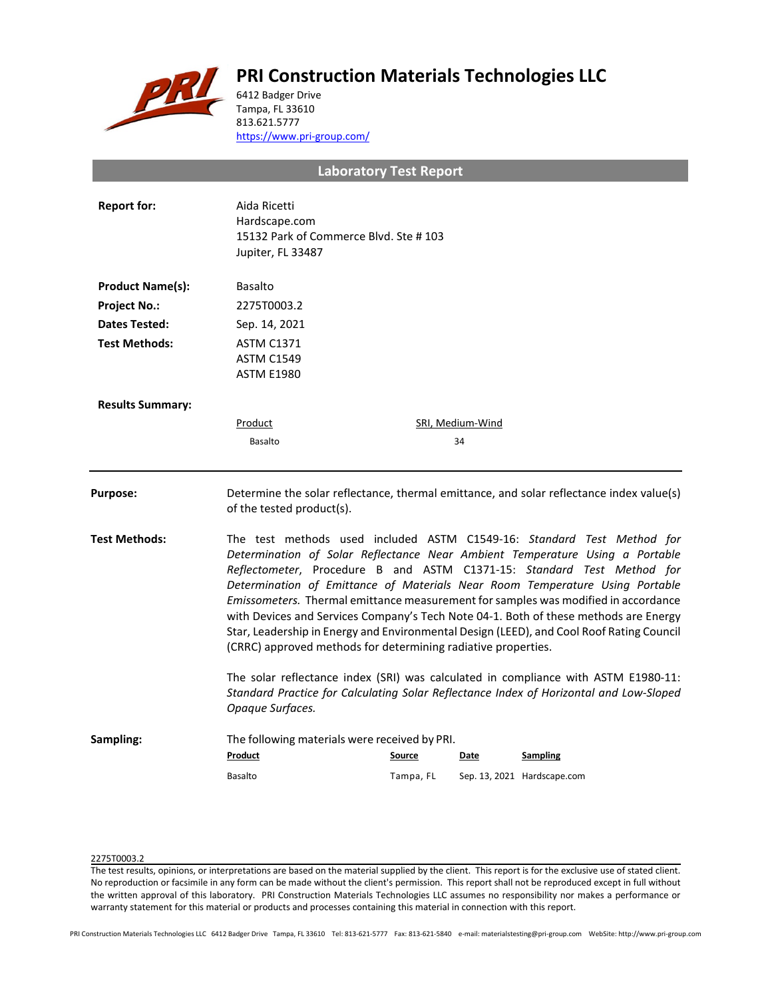# **PRI Construction Materials Technologies LLC**



6412 Badger Drive Tampa, FL 33610 813.621.5777 <https://www.pri-group.com/>

**Laboratory Test Report**

| <b>Report for:</b>      | Aida Ricetti<br>Hardscape.com<br>15132 Park of Commerce Blvd. Ste #103<br>Jupiter, FL 33487                                                                                                                                                                                                                                                                                                                                                                                                                                                                                                                                                                 |                     |                  |                                                |  |
|-------------------------|-------------------------------------------------------------------------------------------------------------------------------------------------------------------------------------------------------------------------------------------------------------------------------------------------------------------------------------------------------------------------------------------------------------------------------------------------------------------------------------------------------------------------------------------------------------------------------------------------------------------------------------------------------------|---------------------|------------------|------------------------------------------------|--|
| <b>Product Name(s):</b> | <b>Basalto</b>                                                                                                                                                                                                                                                                                                                                                                                                                                                                                                                                                                                                                                              |                     |                  |                                                |  |
| <b>Project No.:</b>     | 2275T0003.2                                                                                                                                                                                                                                                                                                                                                                                                                                                                                                                                                                                                                                                 |                     |                  |                                                |  |
| Dates Tested:           | Sep. 14, 2021                                                                                                                                                                                                                                                                                                                                                                                                                                                                                                                                                                                                                                               |                     |                  |                                                |  |
| <b>Test Methods:</b>    | <b>ASTM C1371</b><br><b>ASTM C1549</b><br><b>ASTM E1980</b>                                                                                                                                                                                                                                                                                                                                                                                                                                                                                                                                                                                                 |                     |                  |                                                |  |
| <b>Results Summary:</b> |                                                                                                                                                                                                                                                                                                                                                                                                                                                                                                                                                                                                                                                             |                     |                  |                                                |  |
|                         | Product                                                                                                                                                                                                                                                                                                                                                                                                                                                                                                                                                                                                                                                     |                     | SRI, Medium-Wind |                                                |  |
|                         | Basalto                                                                                                                                                                                                                                                                                                                                                                                                                                                                                                                                                                                                                                                     |                     | 34               |                                                |  |
| <b>Purpose:</b>         | Determine the solar reflectance, thermal emittance, and solar reflectance index value(s)<br>of the tested product(s).                                                                                                                                                                                                                                                                                                                                                                                                                                                                                                                                       |                     |                  |                                                |  |
| <b>Test Methods:</b>    | The test methods used included ASTM C1549-16: Standard Test Method for<br>Determination of Solar Reflectance Near Ambient Temperature Using a Portable<br>Reflectometer, Procedure B and ASTM C1371-15: Standard Test Method for<br>Determination of Emittance of Materials Near Room Temperature Using Portable<br>Emissometers. Thermal emittance measurement for samples was modified in accordance<br>with Devices and Services Company's Tech Note 04-1. Both of these methods are Energy<br>Star, Leadership in Energy and Environmental Design (LEED), and Cool Roof Rating Council<br>(CRRC) approved methods for determining radiative properties. |                     |                  |                                                |  |
|                         | The solar reflectance index (SRI) was calculated in compliance with ASTM E1980-11:<br>Standard Practice for Calculating Solar Reflectance Index of Horizontal and Low-Sloped<br>Opaque Surfaces.                                                                                                                                                                                                                                                                                                                                                                                                                                                            |                     |                  |                                                |  |
| Sampling:               | The following materials were received by PRI.<br>Product<br><b>Basalto</b>                                                                                                                                                                                                                                                                                                                                                                                                                                                                                                                                                                                  | Source<br>Tampa, FL | Date             | <b>Sampling</b><br>Sep. 13, 2021 Hardscape.com |  |
|                         |                                                                                                                                                                                                                                                                                                                                                                                                                                                                                                                                                                                                                                                             |                     |                  |                                                |  |

## 2275T0003.2

The test results, opinions, or interpretations are based on the material supplied by the client. This report is for the exclusive use of stated client. No reproduction or facsimile in any form can be made without the client's permission. This report shall not be reproduced except in full without the written approval of this laboratory. PRI Construction Materials Technologies LLC assumes no responsibility nor makes a performance or warranty statement for this material or products and processes containing this material in connection with this report.

PRI Construction Materials Technologies LLC 6412 Badger Drive Tampa, FL 33610 Tel: 813-621-5777 Fax: 813-621-5840 e-mail: materialstesting@pri-group.com WebSite: http://www.pri-group.com